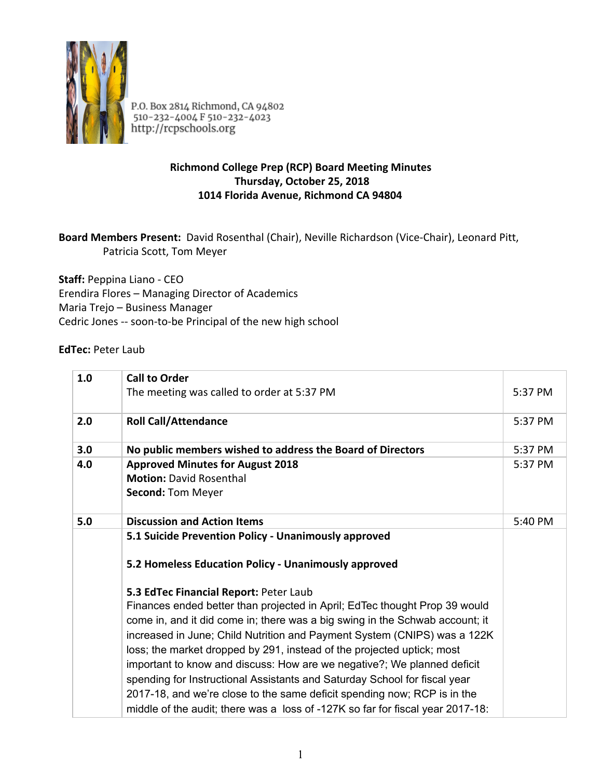

P.O. Box 2814 Richmond, CA 94802<br>510-232-4004 F 510-232-4023 http://rcpschools.org

## **Richmond College Prep (RCP) Board Meeting Minutes Thursday, October 25, 2018 1014 Florida Avenue, Richmond CA 94804**

## Board Members Present: David Rosenthal (Chair), Neville Richardson (Vice-Chair), Leonard Pitt, Patricia Scott, Tom Meyer

**Staff:**  Peppina Liano ‐ CEO Erendira Flores – Managing Director of Academics Maria Trejo – Business Manager Cedric Jones ‐‐ soon‐to‐be Principal of the new high school

## **EdTec: Peter Laub**

| 1.0 | <b>Call to Order</b>                                                                                                                                                                                                                                                                                                                                                                                                                                                                                                                                                                                                                                                             |         |
|-----|----------------------------------------------------------------------------------------------------------------------------------------------------------------------------------------------------------------------------------------------------------------------------------------------------------------------------------------------------------------------------------------------------------------------------------------------------------------------------------------------------------------------------------------------------------------------------------------------------------------------------------------------------------------------------------|---------|
|     | The meeting was called to order at 5:37 PM                                                                                                                                                                                                                                                                                                                                                                                                                                                                                                                                                                                                                                       | 5:37 PM |
| 2.0 | <b>Roll Call/Attendance</b>                                                                                                                                                                                                                                                                                                                                                                                                                                                                                                                                                                                                                                                      | 5:37 PM |
| 3.0 | No public members wished to address the Board of Directors                                                                                                                                                                                                                                                                                                                                                                                                                                                                                                                                                                                                                       | 5:37 PM |
| 4.0 | <b>Approved Minutes for August 2018</b><br><b>Motion: David Rosenthal</b><br><b>Second: Tom Meyer</b>                                                                                                                                                                                                                                                                                                                                                                                                                                                                                                                                                                            | 5:37 PM |
| 5.0 | <b>Discussion and Action Items</b>                                                                                                                                                                                                                                                                                                                                                                                                                                                                                                                                                                                                                                               | 5:40 PM |
|     | 5.1 Suicide Prevention Policy - Unanimously approved<br>5.2 Homeless Education Policy - Unanimously approved                                                                                                                                                                                                                                                                                                                                                                                                                                                                                                                                                                     |         |
|     | 5.3 EdTec Financial Report: Peter Laub<br>Finances ended better than projected in April; EdTec thought Prop 39 would<br>come in, and it did come in; there was a big swing in the Schwab account; it<br>increased in June; Child Nutrition and Payment System (CNIPS) was a 122K<br>loss; the market dropped by 291, instead of the projected uptick; most<br>important to know and discuss: How are we negative?; We planned deficit<br>spending for Instructional Assistants and Saturday School for fiscal year<br>2017-18, and we're close to the same deficit spending now; RCP is in the<br>middle of the audit; there was a loss of -127K so far for fiscal year 2017-18: |         |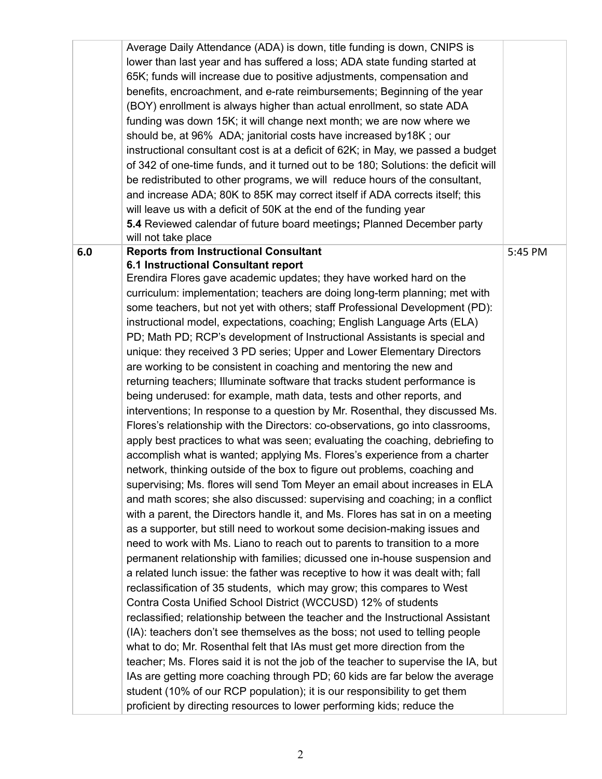|     | Average Daily Attendance (ADA) is down, title funding is down, CNIPS is            |         |
|-----|------------------------------------------------------------------------------------|---------|
|     | lower than last year and has suffered a loss; ADA state funding started at         |         |
|     | 65K; funds will increase due to positive adjustments, compensation and             |         |
|     | benefits, encroachment, and e-rate reimbursements; Beginning of the year           |         |
|     | (BOY) enrollment is always higher than actual enrollment, so state ADA             |         |
|     | funding was down 15K; it will change next month; we are now where we               |         |
|     | should be, at 96% ADA; janitorial costs have increased by 18K; our                 |         |
|     | instructional consultant cost is at a deficit of 62K; in May, we passed a budget   |         |
|     | of 342 of one-time funds, and it turned out to be 180; Solutions: the deficit will |         |
|     | be redistributed to other programs, we will reduce hours of the consultant,        |         |
|     | and increase ADA; 80K to 85K may correct itself if ADA corrects itself; this       |         |
|     | will leave us with a deficit of 50K at the end of the funding year                 |         |
|     | 5.4 Reviewed calendar of future board meetings; Planned December party             |         |
|     | will not take place                                                                |         |
| 6.0 | <b>Reports from Instructional Consultant</b>                                       | 5:45 PM |
|     | 6.1 Instructional Consultant report                                                |         |
|     | Erendira Flores gave academic updates; they have worked hard on the                |         |
|     | curriculum: implementation; teachers are doing long-term planning; met with        |         |
|     | some teachers, but not yet with others; staff Professional Development (PD):       |         |
|     | instructional model, expectations, coaching; English Language Arts (ELA)           |         |
|     | PD; Math PD; RCP's development of Instructional Assistants is special and          |         |
|     | unique: they received 3 PD series; Upper and Lower Elementary Directors            |         |
|     | are working to be consistent in coaching and mentoring the new and                 |         |
|     | returning teachers; Illuminate software that tracks student performance is         |         |
|     | being underused: for example, math data, tests and other reports, and              |         |
|     | interventions; In response to a question by Mr. Rosenthal, they discussed Ms.      |         |
|     | Flores's relationship with the Directors: co-observations, go into classrooms,     |         |
|     | apply best practices to what was seen; evaluating the coaching, debriefing to      |         |
|     | accomplish what is wanted; applying Ms. Flores's experience from a charter         |         |
|     | network, thinking outside of the box to figure out problems, coaching and          |         |
|     | supervising; Ms. flores will send Tom Meyer an email about increases in ELA        |         |
|     | and math scores; she also discussed: supervising and coaching; in a conflict       |         |
|     | with a parent, the Directors handle it, and Ms. Flores has sat in on a meeting     |         |
|     | as a supporter, but still need to workout some decision-making issues and          |         |
|     | need to work with Ms. Liano to reach out to parents to transition to a more        |         |
|     | permanent relationship with families; dicussed one in-house suspension and         |         |
|     | a related lunch issue: the father was receptive to how it was dealt with; fall     |         |
|     | reclassification of 35 students, which may grow; this compares to West             |         |
|     | Contra Costa Unified School District (WCCUSD) 12% of students                      |         |
|     | reclassified; relationship between the teacher and the Instructional Assistant     |         |
|     | (IA): teachers don't see themselves as the boss; not used to telling people        |         |
|     | what to do; Mr. Rosenthal felt that IAs must get more direction from the           |         |
|     | teacher; Ms. Flores said it is not the job of the teacher to supervise the IA, but |         |
|     | IAs are getting more coaching through PD; 60 kids are far below the average        |         |
|     | student (10% of our RCP population); it is our responsibility to get them          |         |
|     | proficient by directing resources to lower performing kids; reduce the             |         |
|     |                                                                                    |         |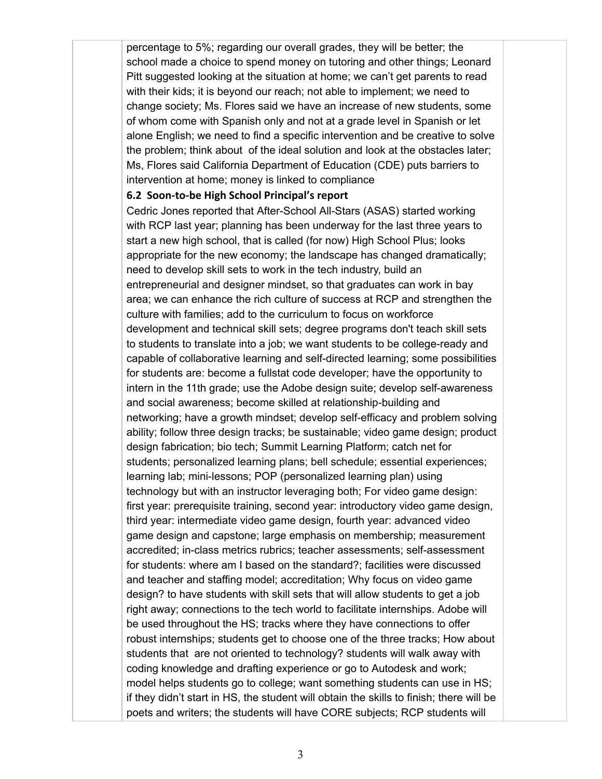percentage to 5%; regarding our overall grades, they will be better; the school made a choice to spend money on tutoring and other things; Leonard Pitt suggested looking at the situation at home; we can't get parents to read with their kids; it is beyond our reach; not able to implement; we need to change society; Ms. Flores said we have an increase of new students, some of whom come with Spanish only and not at a grade level in Spanish or let alone English; we need to find a specific intervention and be creative to solve the problem; think about of the ideal solution and look at the obstacles later; Ms, Flores said California Department of Education (CDE) puts barriers to intervention at home; money is linked to compliance

## **6.2 Soon‐to‐be High School Principal's report**

Cedric Jones reported that After-School All-Stars (ASAS) started working with RCP last year; planning has been underway for the last three years to start a new high school, that is called (for now) High School Plus; looks appropriate for the new economy; the landscape has changed dramatically; need to develop skill sets to work in the tech industry, build an entrepreneurial and designer mindset, so that graduates can work in bay area; we can enhance the rich culture of success at RCP and strengthen the culture with families; add to the curriculum to focus on workforce development and technical skill sets; degree programs don't teach skill sets to students to translate into a job; we want students to be college-ready and capable of collaborative learning and self-directed learning; some possibilities for students are: become a fullstat code developer; have the opportunity to intern in the 11th grade; use the Adobe design suite; develop self-awareness and social awareness; become skilled at relationship-building and networking; have a growth mindset; develop selfefficacy and problem solving ability; follow three design tracks; be sustainable; video game design; product design fabrication; bio tech; Summit Learning Platform; catch net for students; personalized learning plans; bell schedule; essential experiences; learning lab; mini-lessons; POP (personalized learning plan) using technology but with an instructor leveraging both; For video game design: first year: prerequisite training, second year: introductory video game design, third year: intermediate video game design, fourth year: advanced video game design and capstone; large emphasis on membership; measurement accredited; in-class metrics rubrics; teacher assessments; self-assessment for students: where am I based on the standard?; facilities were discussed and teacher and staffing model; accreditation; Why focus on video game design? to have students with skill sets that will allow students to get a job right away; connections to the tech world to facilitate internships. Adobe will be used throughout the HS; tracks where they have connections to offer robust internships; students get to choose one of the three tracks; How about students that are not oriented to technology? students will walk away with coding knowledge and drafting experience or go to Autodesk and work; model helps students go to college; want something students can use in HS; if they didn't start in HS, the student will obtain the skills to finish; there will be poets and writers; the students will have CORE subjects; RCP students will